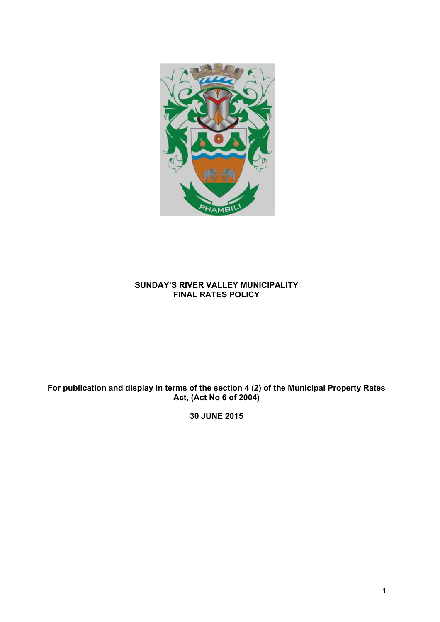

## **SUNDAY'S RIVER VALLEY MUNICIPALITY FINAL RATES POLICY**

# **For publication and display in terms of the section 4 (2) of the Municipal Property Rates Act, (Act No 6 of 2004)**

**30 JUNE 2015**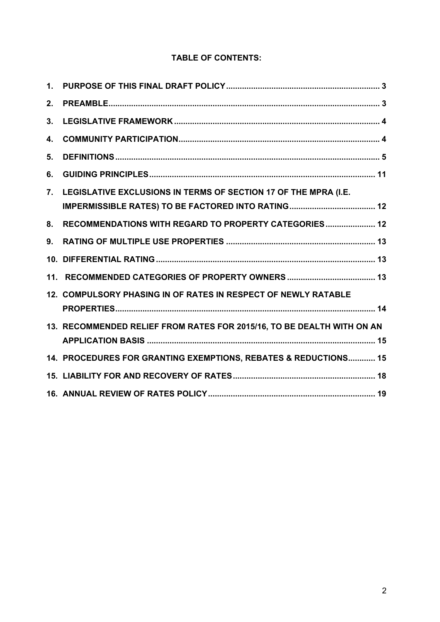# **TABLE OF CONTENTS:**

| 2.               |                                                                        |
|------------------|------------------------------------------------------------------------|
| 3.               |                                                                        |
| 4.               |                                                                        |
| 5.               |                                                                        |
| 6.               |                                                                        |
| $\overline{7}$ . | LEGISLATIVE EXCLUSIONS IN TERMS OF SECTION 17 OF THE MPRA (I.E.        |
| 8.               | RECOMMENDATIONS WITH REGARD TO PROPERTY CATEGORIES 12                  |
| 9.               |                                                                        |
|                  |                                                                        |
|                  |                                                                        |
|                  | 12. COMPULSORY PHASING IN OF RATES IN RESPECT OF NEWLY RATABLE         |
|                  | 13. RECOMMENDED RELIEF FROM RATES FOR 2015/16, TO BE DEALTH WITH ON AN |
|                  | 14. PROCEDURES FOR GRANTING EXEMPTIONS, REBATES & REDUCTIONS 15        |
|                  |                                                                        |
|                  |                                                                        |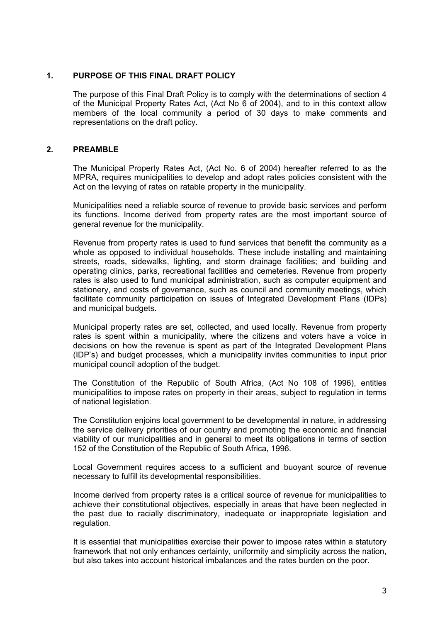### **1. PURPOSE OF THIS FINAL DRAFT POLICY**

The purpose of this Final Draft Policy is to comply with the determinations of section 4 of the Municipal Property Rates Act, (Act No 6 of 2004), and to in this context allow members of the local community a period of 30 days to make comments and representations on the draft policy.

## **2. PREAMBLE**

The Municipal Property Rates Act, (Act No. 6 of 2004) hereafter referred to as the MPRA, requires municipalities to develop and adopt rates policies consistent with the Act on the levying of rates on ratable property in the municipality.

Municipalities need a reliable source of revenue to provide basic services and perform its functions. Income derived from property rates are the most important source of general revenue for the municipality.

Revenue from property rates is used to fund services that benefit the community as a whole as opposed to individual households. These include installing and maintaining streets, roads, sidewalks, lighting, and storm drainage facilities; and building and operating clinics, parks, recreational facilities and cemeteries. Revenue from property rates is also used to fund municipal administration, such as computer equipment and stationery, and costs of governance, such as council and community meetings, which facilitate community participation on issues of Integrated Development Plans (IDPs) and municipal budgets.

Municipal property rates are set, collected, and used locally. Revenue from property rates is spent within a municipality, where the citizens and voters have a voice in decisions on how the revenue is spent as part of the Integrated Development Plans (IDP's) and budget processes, which a municipality invites communities to input prior municipal council adoption of the budget.

The Constitution of the Republic of South Africa, (Act No 108 of 1996), entitles municipalities to impose rates on property in their areas, subject to regulation in terms of national legislation.

The Constitution enjoins local government to be developmental in nature, in addressing the service delivery priorities of our country and promoting the economic and financial viability of our municipalities and in general to meet its obligations in terms of section 152 of the Constitution of the Republic of South Africa, 1996.

Local Government requires access to a sufficient and buoyant source of revenue necessary to fulfill its developmental responsibilities.

Income derived from property rates is a critical source of revenue for municipalities to achieve their constitutional objectives, especially in areas that have been neglected in the past due to racially discriminatory, inadequate or inappropriate legislation and regulation.

It is essential that municipalities exercise their power to impose rates within a statutory framework that not only enhances certainty, uniformity and simplicity across the nation, but also takes into account historical imbalances and the rates burden on the poor.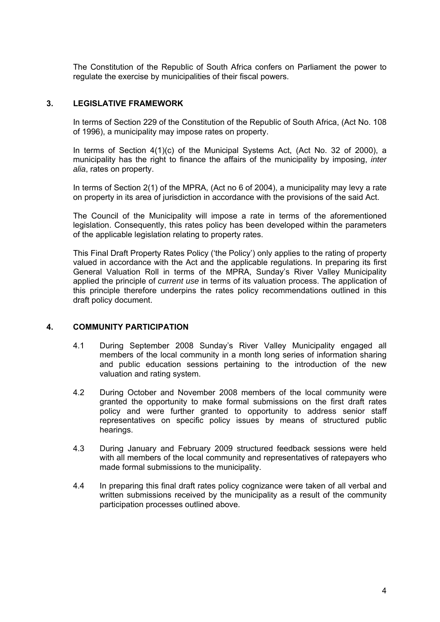The Constitution of the Republic of South Africa confers on Parliament the power to regulate the exercise by municipalities of their fiscal powers.

## **3. LEGISLATIVE FRAMEWORK**

In terms of Section 229 of the Constitution of the Republic of South Africa, (Act No. 108 of 1996), a municipality may impose rates on property.

In terms of Section 4(1)(c) of the Municipal Systems Act, (Act No. 32 of 2000), a municipality has the right to finance the affairs of the municipality by imposing, *inter alia*, rates on property.

In terms of Section 2(1) of the MPRA, (Act no 6 of 2004), a municipality may levy a rate on property in its area of jurisdiction in accordance with the provisions of the said Act.

The Council of the Municipality will impose a rate in terms of the aforementioned legislation. Consequently, this rates policy has been developed within the parameters of the applicable legislation relating to property rates.

This Final Draft Property Rates Policy ('the Policy') only applies to the rating of property valued in accordance with the Act and the applicable regulations. In preparing its first General Valuation Roll in terms of the MPRA, Sunday's River Valley Municipality applied the principle of *current use* in terms of its valuation process. The application of this principle therefore underpins the rates policy recommendations outlined in this draft policy document.

## **4. COMMUNITY PARTICIPATION**

- 4.1 During September 2008 Sunday's River Valley Municipality engaged all members of the local community in a month long series of information sharing and public education sessions pertaining to the introduction of the new valuation and rating system.
- 4.2 During October and November 2008 members of the local community were granted the opportunity to make formal submissions on the first draft rates policy and were further granted to opportunity to address senior staff representatives on specific policy issues by means of structured public hearings.
- 4.3 During January and February 2009 structured feedback sessions were held with all members of the local community and representatives of ratepayers who made formal submissions to the municipality.
- 4.4 In preparing this final draft rates policy cognizance were taken of all verbal and written submissions received by the municipality as a result of the community participation processes outlined above.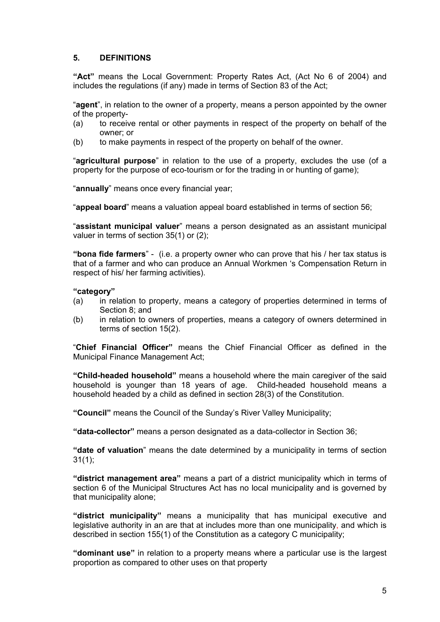## **5. DEFINITIONS**

**"Act"** means the Local Government: Property Rates Act, (Act No 6 of 2004) and includes the regulations (if any) made in terms of Section 83 of the Act;

"**agent**", in relation to the owner of a property, means a person appointed by the owner of the property-

- (a) to receive rental or other payments in respect of the property on behalf of the owner; or
- (b) to make payments in respect of the property on behalf of the owner.

"**agricultural purpose**" in relation to the use of a property, excludes the use (of a property for the purpose of eco-tourism or for the trading in or hunting of game);

"**annually**" means once every financial year;

"**appeal board**" means a valuation appeal board established in terms of section 56;

"**assistant municipal valuer**" means a person designated as an assistant municipal valuer in terms of section 35(1) or (2);

**"bona fide farmers**" - (i.e. a property owner who can prove that his / her tax status is that of a farmer and who can produce an Annual Workmen 's Compensation Return in respect of his/ her farming activities).

#### **"category"**

- (a) in relation to property, means a category of properties determined in terms of Section 8; and
- (b) in relation to owners of properties, means a category of owners determined in terms of section 15(2).

"**Chief Financial Officer"** means the Chief Financial Officer as defined in the Municipal Finance Management Act;

**"Child-headed household"** means a household where the main caregiver of the said household is younger than 18 years of age. Child-headed household means a household headed by a child as defined in section 28(3) of the Constitution.

**"Council"** means the Council of the Sunday's River Valley Municipality;

**"data-collector"** means a person designated as a data-collector in Section 36;

**"date of valuation**" means the date determined by a municipality in terms of section 31(1);

**"district management area"** means a part of a district municipality which in terms of section 6 of the Municipal Structures Act has no local municipality and is governed by that municipality alone;

**"district municipality"** means a municipality that has municipal executive and legislative authority in an are that at includes more than one municipality, and which is described in section 155(1) of the Constitution as a category C municipality;

**"dominant use"** in relation to a property means where a particular use is the largest proportion as compared to other uses on that property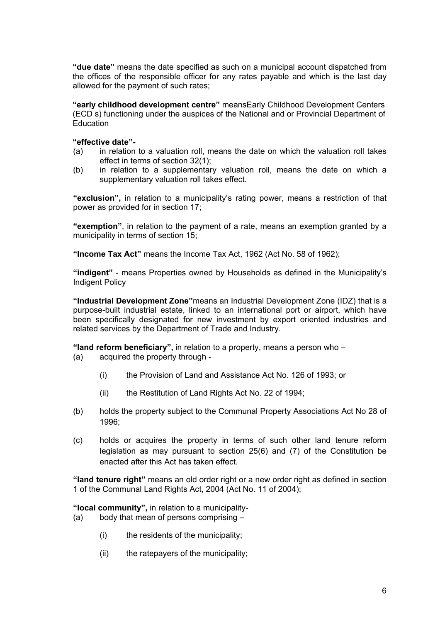**"due date"** means the date specified as such on a municipal account dispatched from the offices of the responsible officer for any rates payable and which is the last day allowed for the payment of such rates;

**"early childhood development centre"** meansEarly Childhood Development Centers (ECD s) functioning under the auspices of the National and or Provincial Department of **Education** 

#### **"effective date"-**

- (a) in relation to a valuation roll, means the date on which the valuation roll takes effect in terms of section 32(1);
- (b) in relation to a supplementary valuation roll, means the date on which a supplementary valuation roll takes effect.

**"exclusion",** in relation to a municipality's rating power, means a restriction of that power as provided for in section 17;

**"exemption"**, in relation to the payment of a rate, means an exemption granted by a municipality in terms of section 15;

**"Income Tax Act"** means the Income Tax Act, 1962 (Act No. 58 of 1962);

**"indigent"** - means Properties owned by Households as defined in the Municipality's Indigent Policy

**"Industrial Development Zone"**means an Industrial Development Zone (IDZ) that is a purpose-built industrial estate, linked to an international port or airport, which have been specifically designated for new investment by export oriented industries and related services by the Department of Trade and Industry.

**"land reform beneficiary",** in relation to a property, means a person who –

- (a) acquired the property through
	- (i) the Provision of Land and Assistance Act No. 126 of 1993; or
	- (ii) the Restitution of Land Rights Act No. 22 of 1994;
- (b) holds the property subject to the Communal Property Associations Act No 28 of 1996;
- (c) holds or acquires the property in terms of such other land tenure reform legislation as may pursuant to section 25(6) and (7) of the Constitution be enacted after this Act has taken effect.

**"land tenure right"** means an old order right or a new order right as defined in section 1 of the Communal Land Rights Act, 2004 (Act No. 11 of 2004);

**"local community",** in relation to a municipality-

- (a) body that mean of persons comprising
	- (i) the residents of the municipality;
	- (ii) the ratepayers of the municipality;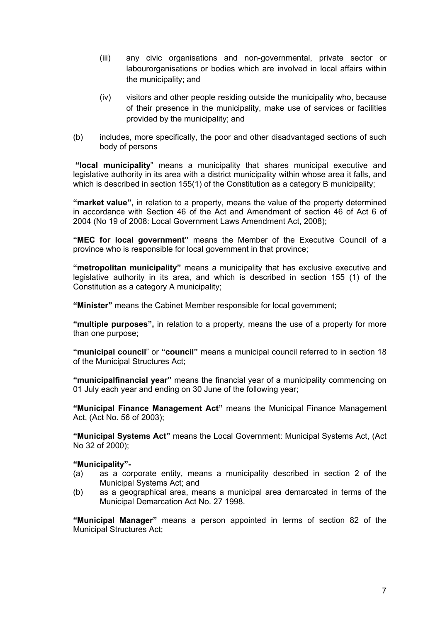- (iii) any civic organisations and non-governmental, private sector or labourorganisations or bodies which are involved in local affairs within the municipality; and
- (iv) visitors and other people residing outside the municipality who, because of their presence in the municipality, make use of services or facilities provided by the municipality; and
- (b) includes, more specifically, the poor and other disadvantaged sections of such body of persons

 **"local municipality**" means a municipality that shares municipal executive and legislative authority in its area with a district municipality within whose area it falls, and which is described in section 155(1) of the Constitution as a category B municipality;

**"market value",** in relation to a property, means the value of the property determined in accordance with Section 46 of the Act and Amendment of section 46 of Act 6 of 2004 (No 19 of 2008: Local Government Laws Amendment Act, 2008);

**"MEC for local government"** means the Member of the Executive Council of a province who is responsible for local government in that province;

**"metropolitan municipality"** means a municipality that has exclusive executive and legislative authority in its area, and which is described in section 155 (1) of the Constitution as a category A municipality;

**"Minister"** means the Cabinet Member responsible for local government;

**"multiple purposes",** in relation to a property, means the use of a property for more than one purpose;

**"municipal council**" or **"council"** means a municipal council referred to in section 18 of the Municipal Structures Act;

**"municipalfinancial year"** means the financial year of a municipality commencing on 01 July each year and ending on 30 June of the following year;

**"Municipal Finance Management Act"** means the Municipal Finance Management Act, (Act No. 56 of 2003);

**"Municipal Systems Act"** means the Local Government: Municipal Systems Act, (Act No 32 of 2000);

## **"Municipality"-**

- (a) as a corporate entity, means a municipality described in section 2 of the Municipal Systems Act; and
- (b) as a geographical area, means a municipal area demarcated in terms of the Municipal Demarcation Act No. 27 1998.

**"Municipal Manager"** means a person appointed in terms of section 82 of the Municipal Structures Act;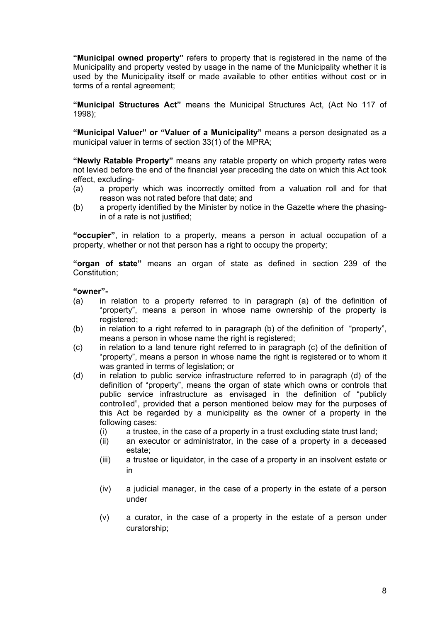**"Municipal owned property"** refers to property that is registered in the name of the Municipality and property vested by usage in the name of the Municipality whether it is used by the Municipality itself or made available to other entities without cost or in terms of a rental agreement;

**"Municipal Structures Act"** means the Municipal Structures Act, (Act No 117 of 1998);

**"Municipal Valuer" or "Valuer of a Municipality"** means a person designated as a municipal valuer in terms of section 33(1) of the MPRA;

**"Newly Ratable Property"** means any ratable property on which property rates were not levied before the end of the financial year preceding the date on which this Act took effect, excluding-

- (a) a property which was incorrectly omitted from a valuation roll and for that reason was not rated before that date; and
- (b) a property identified by the Minister by notice in the Gazette where the phasingin of a rate is not justified;

**"occupier"**, in relation to a property, means a person in actual occupation of a property, whether or not that person has a right to occupy the property;

**"organ of state"** means an organ of state as defined in section 239 of the Constitution;

#### **"owner"-**

- (a) in relation to a property referred to in paragraph (a) of the definition of "property", means a person in whose name ownership of the property is registered;
- (b) in relation to a right referred to in paragraph (b) of the definition of "property", means a person in whose name the right is registered;
- (c) in relation to a land tenure right referred to in paragraph (c) of the definition of "property", means a person in whose name the right is registered or to whom it was granted in terms of legislation; or
- (d) in relation to public service infrastructure referred to in paragraph (d) of the definition of "property", means the organ of state which owns or controls that public service infrastructure as envisaged in the definition of "publicly controlled", provided that a person mentioned below may for the purposes of this Act be regarded by a municipality as the owner of a property in the following cases:
	- (i) a trustee, in the case of a property in a trust excluding state trust land;
	- (ii) an executor or administrator, in the case of a property in a deceased estate;
	- (iii) a trustee or liquidator, in the case of a property in an insolvent estate or in
	- (iv) a judicial manager, in the case of a property in the estate of a person under
	- (v) a curator, in the case of a property in the estate of a person under curatorship;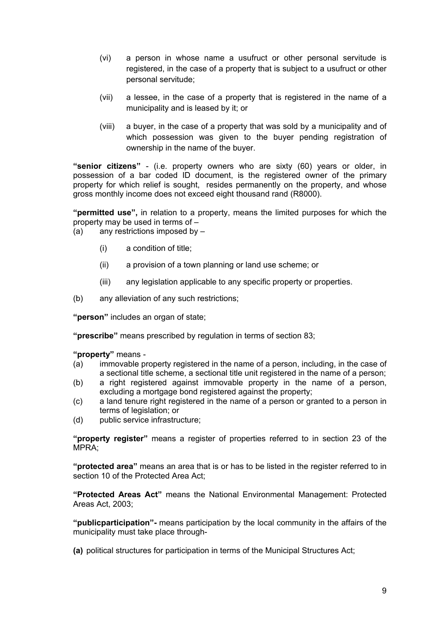- (vi) a person in whose name a usufruct or other personal servitude is registered, in the case of a property that is subject to a usufruct or other personal servitude;
- (vii) a lessee, in the case of a property that is registered in the name of a municipality and is leased by it; or
- (viii) a buyer, in the case of a property that was sold by a municipality and of which possession was given to the buyer pending registration of ownership in the name of the buyer.

**"senior citizens"** - (i.e. property owners who are sixty (60) years or older, in possession of a bar coded ID document, is the registered owner of the primary property for which relief is sought, resides permanently on the property, and whose gross monthly income does not exceed eight thousand rand (R8000).

**"permitted use",** in relation to a property, means the limited purposes for which the property may be used in terms of –

 $(a)$  any restrictions imposed by  $-$ 

- (i) a condition of title;
- (ii) a provision of a town planning or land use scheme; or
- (iii) any legislation applicable to any specific property or properties.
- (b) any alleviation of any such restrictions;

**"person"** includes an organ of state;

**"prescribe"** means prescribed by regulation in terms of section 83;

**"property"** means -

- (a) immovable property registered in the name of a person, including, in the case of a sectional title scheme, a sectional title unit registered in the name of a person;
- (b) a right registered against immovable property in the name of a person, excluding a mortgage bond registered against the property;
- (c) a land tenure right registered in the name of a person or granted to a person in terms of legislation; or
- (d) public service infrastructure;

**"property register"** means a register of properties referred to in section 23 of the MPRA;

**"protected area"** means an area that is or has to be listed in the register referred to in section 10 of the Protected Area Act:

**"Protected Areas Act"** means the National Environmental Management: Protected Areas Act, 2003;

**"publicparticipation"-** means participation by the local community in the affairs of the municipality must take place through-

**(a)** political structures for participation in terms of the Municipal Structures Act;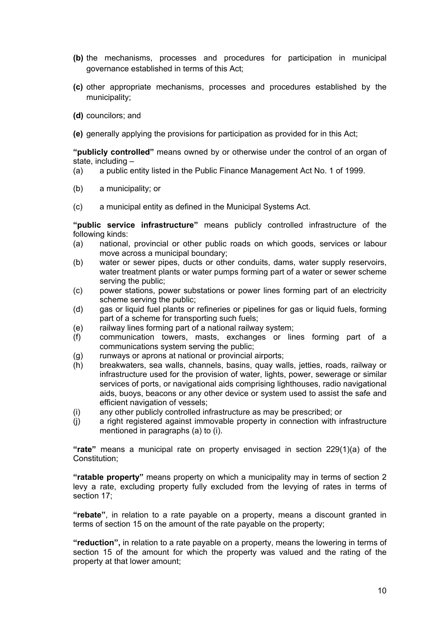- **(b)** the mechanisms, processes and procedures for participation in municipal governance established in terms of this Act;
- **(c)** other appropriate mechanisms, processes and procedures established by the municipality;
- **(d)** councilors; and
- **(e)** generally applying the provisions for participation as provided for in this Act;

**"publicly controlled"** means owned by or otherwise under the control of an organ of state, including –

- (a) a public entity listed in the Public Finance Management Act No. 1 of 1999.
- (b) a municipality; or
- (c) a municipal entity as defined in the Municipal Systems Act.

**"public service infrastructure"** means publicly controlled infrastructure of the following kinds:

- (a) national, provincial or other public roads on which goods, services or labour move across a municipal boundary;
- (b) water or sewer pipes, ducts or other conduits, dams, water supply reservoirs, water treatment plants or water pumps forming part of a water or sewer scheme serving the public;
- (c) power stations, power substations or power lines forming part of an electricity scheme serving the public;
- (d) gas or liquid fuel plants or refineries or pipelines for gas or liquid fuels, forming part of a scheme for transporting such fuels;
- (e) railway lines forming part of a national railway system;
- (f) communication towers, masts, exchanges or lines forming part of a communications system serving the public;
- (g) runways or aprons at national or provincial airports;
- (h) breakwaters, sea walls, channels, basins, quay walls, jetties, roads, railway or infrastructure used for the provision of water, lights, power, sewerage or similar services of ports, or navigational aids comprising lighthouses, radio navigational aids, buoys, beacons or any other device or system used to assist the safe and efficient navigation of vessels;
- (i) any other publicly controlled infrastructure as may be prescribed; or
- (j) a right registered against immovable property in connection with infrastructure mentioned in paragraphs (a) to (i).

**"rate"** means a municipal rate on property envisaged in section 229(1)(a) of the Constitution;

**"ratable property"** means property on which a municipality may in terms of section 2 levy a rate, excluding property fully excluded from the levying of rates in terms of section 17;

**"rebate"**, in relation to a rate payable on a property, means a discount granted in terms of section 15 on the amount of the rate payable on the property;

**"reduction",** in relation to a rate payable on a property, means the lowering in terms of section 15 of the amount for which the property was valued and the rating of the property at that lower amount;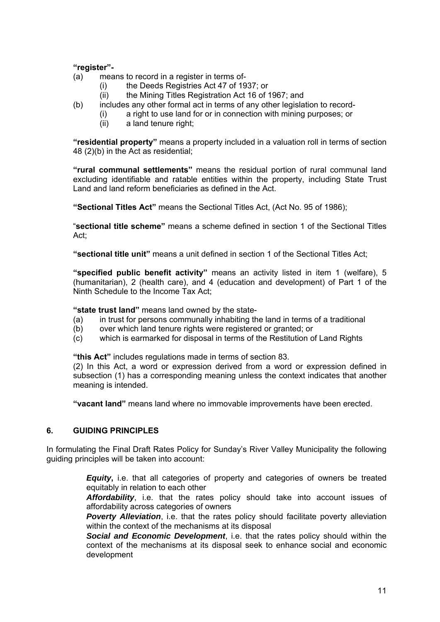## **"register"-**

- (a) means to record in a register in terms of-
	- (i) the Deeds Registries Act 47 of 1937; or
		- (ii) the Mining Titles Registration Act 16 of 1967; and
- (b) includes any other formal act in terms of any other legislation to record-
	- (i) a right to use land for or in connection with mining purposes; or
		- (ii) a land tenure right;

**"residential property"** means a property included in a valuation roll in terms of section 48 (2)(b) in the Act as residential;

**"rural communal settlements"** means the residual portion of rural communal land excluding identifiable and ratable entities within the property, including State Trust Land and land reform beneficiaries as defined in the Act.

**"Sectional Titles Act"** means the Sectional Titles Act, (Act No. 95 of 1986);

"**sectional title scheme"** means a scheme defined in section 1 of the Sectional Titles Act;

**"sectional title unit"** means a unit defined in section 1 of the Sectional Titles Act;

**"specified public benefit activity"** means an activity listed in item 1 (welfare), 5 (humanitarian), 2 (health care), and 4 (education and development) of Part 1 of the Ninth Schedule to the Income Tax Act;

**"state trust land"** means land owned by the state-

- (a) in trust for persons communally inhabiting the land in terms of a traditional
- (b) over which land tenure rights were registered or granted; or
- (c) which is earmarked for disposal in terms of the Restitution of Land Rights

**"this Act"** includes regulations made in terms of section 83.

(2) In this Act, a word or expression derived from a word or expression defined in subsection (1) has a corresponding meaning unless the context indicates that another meaning is intended.

**"vacant land"** means land where no immovable improvements have been erected.

## **6. GUIDING PRINCIPLES**

In formulating the Final Draft Rates Policy for Sunday's River Valley Municipality the following guiding principles will be taken into account:

> *Equity***,** i.e. that all categories of property and categories of owners be treated equitably in relation to each other

> Affordability, i.e. that the rates policy should take into account issues of affordability across categories of owners

> **Poverty Alleviation**, i.e. that the rates policy should facilitate poverty alleviation within the context of the mechanisms at its disposal

> *Social and Economic Development*, i.e. that the rates policy should within the context of the mechanisms at its disposal seek to enhance social and economic development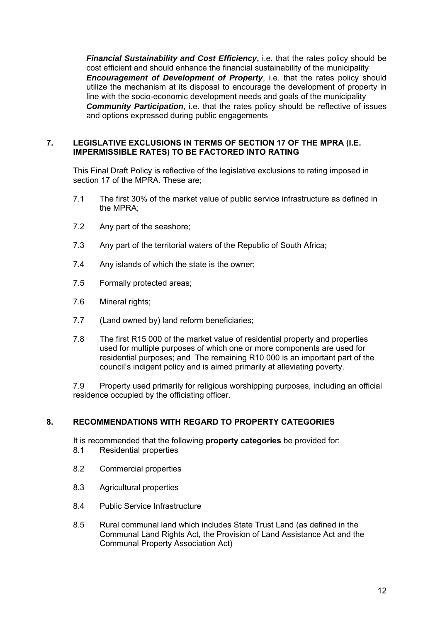*Financial Sustainability and Cost Efficiency***,** i.e. that the rates policy should be cost efficient and should enhance the financial sustainability of the municipality **Encouragement of Development of Property, i.e. that the rates policy should** utilize the mechanism at its disposal to encourage the development of property in line with the socio-economic development needs and goals of the municipality *Community Participation***,** i.e. that the rates policy should be reflective of issues and options expressed during public engagements

## **7. LEGISLATIVE EXCLUSIONS IN TERMS OF SECTION 17 OF THE MPRA (I.E. IMPERMISSIBLE RATES) TO BE FACTORED INTO RATING**

This Final Draft Policy is reflective of the legislative exclusions to rating imposed in section 17 of the MPRA. These are;

- 7.1 The first 30% of the market value of public service infrastructure as defined in the MPRA;
- 7.2 Any part of the seashore;
- 7.3 Any part of the territorial waters of the Republic of South Africa;
- 7.4 Any islands of which the state is the owner;
- 7.5 Formally protected areas;
- 7.6 Mineral rights;
- 7.7 (Land owned by) land reform beneficiaries;
- 7.8 The first R15 000 of the market value of residential property and properties used for multiple purposes of which one or more components are used for residential purposes; and The remaining R10 000 is an important part of the council's indigent policy and is aimed primarily at alleviating poverty.

7.9 Property used primarily for religious worshipping purposes, including an official residence occupied by the officiating officer.

# **8. RECOMMENDATIONS WITH REGARD TO PROPERTY CATEGORIES**

It is recommended that the following **property categories** be provided for:

- 8.1 Residential properties
- 8.2 Commercial properties
- 8.3 Agricultural properties
- 8.4 Public Service Infrastructure
- 8.5 Rural communal land which includes State Trust Land (as defined in the Communal Land Rights Act, the Provision of Land Assistance Act and the Communal Property Association Act)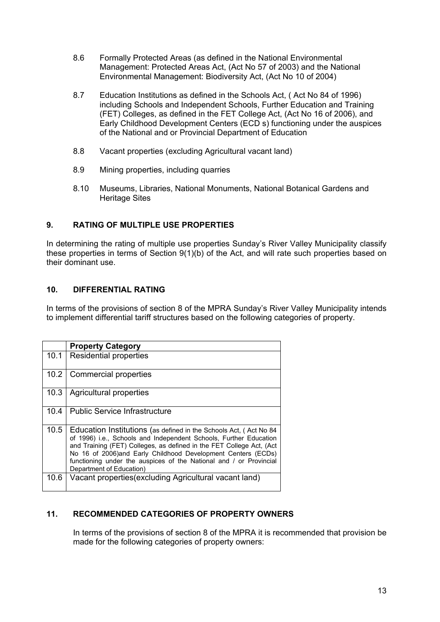- 8.6 Formally Protected Areas (as defined in the National Environmental Management: Protected Areas Act, (Act No 57 of 2003) and the National Environmental Management: Biodiversity Act, (Act No 10 of 2004)
- 8.7 Education Institutions as defined in the Schools Act, ( Act No 84 of 1996) including Schools and Independent Schools, Further Education and Training (FET) Colleges, as defined in the FET College Act, (Act No 16 of 2006), and Early Childhood Development Centers (ECD s) functioning under the auspices of the National and or Provincial Department of Education
- 8.8 Vacant properties (excluding Agricultural vacant land)
- 8.9 Mining properties, including quarries
- 8.10 Museums, Libraries, National Monuments, National Botanical Gardens and Heritage Sites

# **9. RATING OF MULTIPLE USE PROPERTIES**

In determining the rating of multiple use properties Sunday's River Valley Municipality classify these properties in terms of Section 9(1)(b) of the Act, and will rate such properties based on their dominant use.

## **10. DIFFERENTIAL RATING**

In terms of the provisions of section 8 of the MPRA Sunday's River Valley Municipality intends to implement differential tariff structures based on the following categories of property.

|      | <b>Property Category</b>                                                                                                                                                                                                                                                                                                                                                         |
|------|----------------------------------------------------------------------------------------------------------------------------------------------------------------------------------------------------------------------------------------------------------------------------------------------------------------------------------------------------------------------------------|
| 10.1 | <b>Residential properties</b>                                                                                                                                                                                                                                                                                                                                                    |
| 10.2 | Commercial properties                                                                                                                                                                                                                                                                                                                                                            |
| 10.3 | Agricultural properties                                                                                                                                                                                                                                                                                                                                                          |
| 10.4 | <b>Public Service Infrastructure</b>                                                                                                                                                                                                                                                                                                                                             |
| 10.5 | Education Institutions (as defined in the Schools Act, (Act No 84<br>of 1996) i.e., Schools and Independent Schools, Further Education<br>and Training (FET) Colleges, as defined in the FET College Act, (Act<br>No 16 of 2006)and Early Childhood Development Centers (ECDs)<br>functioning under the auspices of the National and / or Provincial<br>Department of Education) |
| 10.6 | Vacant properties (excluding Agricultural vacant land)                                                                                                                                                                                                                                                                                                                           |

# **11. RECOMMENDED CATEGORIES OF PROPERTY OWNERS**

In terms of the provisions of section 8 of the MPRA it is recommended that provision be made for the following categories of property owners: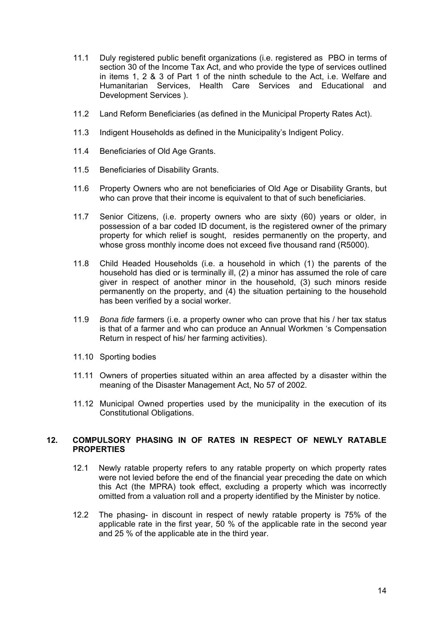- 11.1 Duly registered public benefit organizations (i.e. registered as PBO in terms of section 30 of the Income Tax Act, and who provide the type of services outlined in items 1, 2 & 3 of Part 1 of the ninth schedule to the Act, i.e. Welfare and Humanitarian Services, Health Care Services and Educational and Development Services ).
- 11.2 Land Reform Beneficiaries (as defined in the Municipal Property Rates Act).
- 11.3 Indigent Households as defined in the Municipality's Indigent Policy.
- 11.4 Beneficiaries of Old Age Grants.
- 11.5 Beneficiaries of Disability Grants.
- 11.6 Property Owners who are not beneficiaries of Old Age or Disability Grants, but who can prove that their income is equivalent to that of such beneficiaries.
- 11.7 Senior Citizens, (i.e. property owners who are sixty (60) years or older, in possession of a bar coded ID document, is the registered owner of the primary property for which relief is sought, resides permanently on the property, and whose gross monthly income does not exceed five thousand rand (R5000).
- 11.8 Child Headed Households (i.e. a household in which (1) the parents of the household has died or is terminally ill, (2) a minor has assumed the role of care giver in respect of another minor in the household, (3) such minors reside permanently on the property, and (4) the situation pertaining to the household has been verified by a social worker.
- 11.9 *Bona fide* farmers (i.e. a property owner who can prove that his / her tax status is that of a farmer and who can produce an Annual Workmen 's Compensation Return in respect of his/ her farming activities).
- 11.10 Sporting bodies
- 11.11 Owners of properties situated within an area affected by a disaster within the meaning of the Disaster Management Act, No 57 of 2002.
- 11.12 Municipal Owned properties used by the municipality in the execution of its Constitutional Obligations.

#### **12. COMPULSORY PHASING IN OF RATES IN RESPECT OF NEWLY RATABLE PROPERTIES**

- 12.1 Newly ratable property refers to any ratable property on which property rates were not levied before the end of the financial year preceding the date on which this Act (the MPRA) took effect, excluding a property which was incorrectly omitted from a valuation roll and a property identified by the Minister by notice.
- 12.2 The phasing- in discount in respect of newly ratable property is 75% of the applicable rate in the first year, 50 % of the applicable rate in the second year and 25 % of the applicable ate in the third year.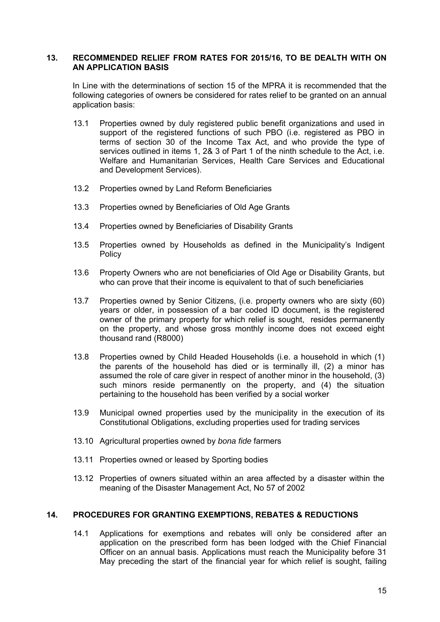#### **13. RECOMMENDED RELIEF FROM RATES FOR 2015/16, TO BE DEALTH WITH ON AN APPLICATION BASIS**

In Line with the determinations of section 15 of the MPRA it is recommended that the following categories of owners be considered for rates relief to be granted on an annual application basis:

- 13.1 Properties owned by duly registered public benefit organizations and used in support of the registered functions of such PBO (i.e. registered as PBO in terms of section 30 of the Income Tax Act, and who provide the type of services outlined in items 1, 2& 3 of Part 1 of the ninth schedule to the Act, i.e. Welfare and Humanitarian Services, Health Care Services and Educational and Development Services).
- 13.2 Properties owned by Land Reform Beneficiaries
- 13.3 Properties owned by Beneficiaries of Old Age Grants
- 13.4 Properties owned by Beneficiaries of Disability Grants
- 13.5 Properties owned by Households as defined in the Municipality's Indigent **Policy**
- 13.6 Property Owners who are not beneficiaries of Old Age or Disability Grants, but who can prove that their income is equivalent to that of such beneficiaries
- 13.7 Properties owned by Senior Citizens, (i.e. property owners who are sixty (60) years or older, in possession of a bar coded ID document, is the registered owner of the primary property for which relief is sought, resides permanently on the property, and whose gross monthly income does not exceed eight thousand rand (R8000)
- 13.8 Properties owned by Child Headed Households (i.e. a household in which (1) the parents of the household has died or is terminally ill, (2) a minor has assumed the role of care giver in respect of another minor in the household, (3) such minors reside permanently on the property, and (4) the situation pertaining to the household has been verified by a social worker
- 13.9 Municipal owned properties used by the municipality in the execution of its Constitutional Obligations, excluding properties used for trading services
- 13.10 Agricultural properties owned by *bona fide* farmers
- 13.11 Properties owned or leased by Sporting bodies
- 13.12 Properties of owners situated within an area affected by a disaster within the meaning of the Disaster Management Act, No 57 of 2002

#### **14. PROCEDURES FOR GRANTING EXEMPTIONS, REBATES & REDUCTIONS**

14.1 Applications for exemptions and rebates will only be considered after an application on the prescribed form has been lodged with the Chief Financial Officer on an annual basis. Applications must reach the Municipality before 31 May preceding the start of the financial year for which relief is sought, failing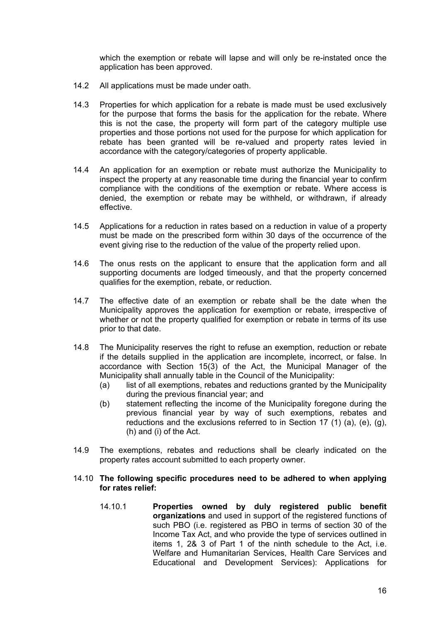which the exemption or rebate will lapse and will only be re-instated once the application has been approved.

- 14.2 All applications must be made under oath.
- 14.3 Properties for which application for a rebate is made must be used exclusively for the purpose that forms the basis for the application for the rebate. Where this is not the case, the property will form part of the category multiple use properties and those portions not used for the purpose for which application for rebate has been granted will be re-valued and property rates levied in accordance with the category/categories of property applicable.
- 14.4 An application for an exemption or rebate must authorize the Municipality to inspect the property at any reasonable time during the financial year to confirm compliance with the conditions of the exemption or rebate. Where access is denied, the exemption or rebate may be withheld, or withdrawn, if already effective.
- 14.5 Applications for a reduction in rates based on a reduction in value of a property must be made on the prescribed form within 30 days of the occurrence of the event giving rise to the reduction of the value of the property relied upon.
- 14.6 The onus rests on the applicant to ensure that the application form and all supporting documents are lodged timeously, and that the property concerned qualifies for the exemption, rebate, or reduction.
- 14.7 The effective date of an exemption or rebate shall be the date when the Municipality approves the application for exemption or rebate, irrespective of whether or not the property qualified for exemption or rebate in terms of its use prior to that date.
- 14.8 The Municipality reserves the right to refuse an exemption, reduction or rebate if the details supplied in the application are incomplete, incorrect, or false. In accordance with Section 15(3) of the Act, the Municipal Manager of the Municipality shall annually table in the Council of the Municipality:
	- (a) list of all exemptions, rebates and reductions granted by the Municipality during the previous financial year; and
	- (b) statement reflecting the income of the Municipality foregone during the previous financial year by way of such exemptions, rebates and reductions and the exclusions referred to in Section 17 (1) (a), (e), (g), (h) and (i) of the Act.
- 14.9 The exemptions, rebates and reductions shall be clearly indicated on the property rates account submitted to each property owner.

#### 14.10 **The following specific procedures need to be adhered to when applying for rates relief:**

14.10.1 **Properties owned by duly registered public benefit organizations** and used in support of the registered functions of such PBO (i.e. registered as PBO in terms of section 30 of the Income Tax Act, and who provide the type of services outlined in items 1, 2& 3 of Part 1 of the ninth schedule to the Act, i.e. Welfare and Humanitarian Services, Health Care Services and Educational and Development Services): Applications for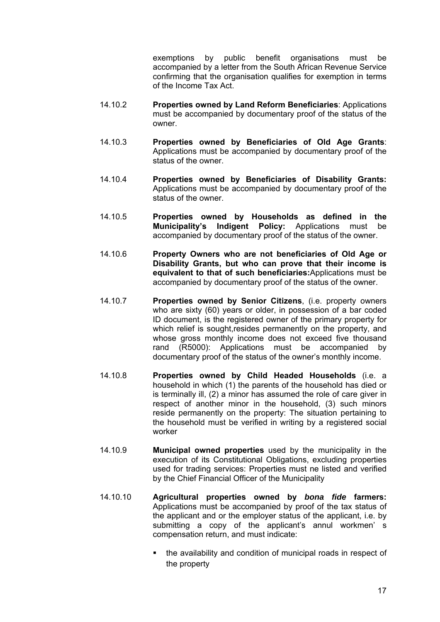exemptions by public benefit organisations must be accompanied by a letter from the South African Revenue Service confirming that the organisation qualifies for exemption in terms of the Income Tax Act.

- 14.10.2 **Properties owned by Land Reform Beneficiaries**: Applications must be accompanied by documentary proof of the status of the owner.
- 14.10.3 **Properties owned by Beneficiaries of Old Age Grants**: Applications must be accompanied by documentary proof of the status of the owner.
- 14.10.4 **Properties owned by Beneficiaries of Disability Grants:**  Applications must be accompanied by documentary proof of the status of the owner.
- 14.10.5 **Properties owned by Households as defined in the Municipality's Indigent Policy:** Applications must be accompanied by documentary proof of the status of the owner.
- 14.10.6 **Property Owners who are not beneficiaries of Old Age or Disability Grants, but who can prove that their income is equivalent to that of such beneficiaries:**Applications must be accompanied by documentary proof of the status of the owner.
- 14.10.7 **Properties owned by Senior Citizens**, (i.e. property owners who are sixty (60) years or older, in possession of a bar coded ID document, is the registered owner of the primary property for which relief is sought, resides permanently on the property, and whose gross monthly income does not exceed five thousand rand (R5000): Applications must be accompanied by documentary proof of the status of the owner's monthly income.
- 14.10.8 **Properties owned by Child Headed Households** (i.e. a household in which (1) the parents of the household has died or is terminally ill, (2) a minor has assumed the role of care giver in respect of another minor in the household, (3) such minors reside permanently on the property: The situation pertaining to the household must be verified in writing by a registered social worker
- 14.10.9 **Municipal owned properties** used by the municipality in the execution of its Constitutional Obligations, excluding properties used for trading services: Properties must ne listed and verified by the Chief Financial Officer of the Municipality
- 14.10.10 **Agricultural properties owned by** *bona fide* **farmers:**  Applications must be accompanied by proof of the tax status of the applicant and or the employer status of the applicant, i.e. by submitting a copy of the applicant's annul workmen' s compensation return, and must indicate:
	- the availability and condition of municipal roads in respect of the property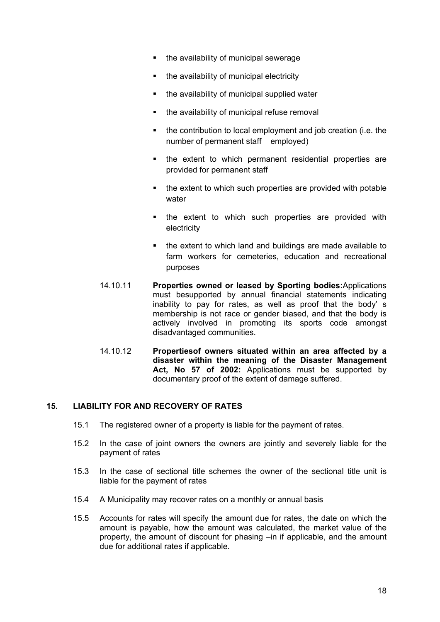- the availability of municipal sewerage
- the availability of municipal electricity
- the availability of municipal supplied water
- the availability of municipal refuse removal
- the contribution to local employment and job creation (i.e. the number of permanent staff employed)
- the extent to which permanent residential properties are provided for permanent staff
- the extent to which such properties are provided with potable water
- the extent to which such properties are provided with electricity
- the extent to which land and buildings are made available to farm workers for cemeteries, education and recreational purposes
- 14.10.11 **Properties owned or leased by Sporting bodies:**Applications must besupported by annual financial statements indicating inability to pay for rates, as well as proof that the body' s membership is not race or gender biased, and that the body is actively involved in promoting its sports code amongst disadvantaged communities.
- 14.10.12 **Propertiesof owners situated within an area affected by a disaster within the meaning of the Disaster Management Act, No 57 of 2002:** Applications must be supported by documentary proof of the extent of damage suffered.

# **15. LIABILITY FOR AND RECOVERY OF RATES**

- 15.1 The registered owner of a property is liable for the payment of rates.
- 15.2 In the case of joint owners the owners are jointly and severely liable for the payment of rates
- 15.3 In the case of sectional title schemes the owner of the sectional title unit is liable for the payment of rates
- 15.4 A Municipality may recover rates on a monthly or annual basis
- 15.5 Accounts for rates will specify the amount due for rates, the date on which the amount is payable, how the amount was calculated, the market value of the property, the amount of discount for phasing –in if applicable, and the amount due for additional rates if applicable.